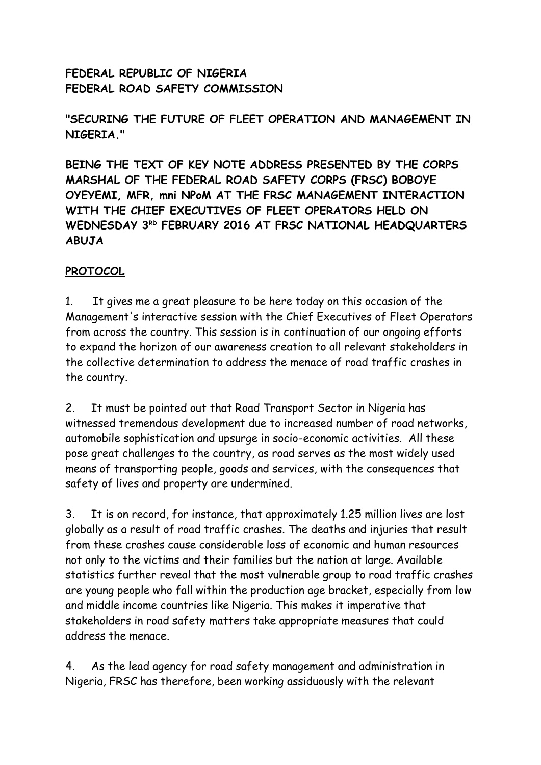**FEDERAL REPUBLIC OF NIGERIA FEDERAL ROAD SAFETY COMMISSION**

**"SECURING THE FUTURE OF FLEET OPERATION AND MANAGEMENT IN NIGERIA."**

**BEING THE TEXT OF KEY NOTE ADDRESS PRESENTED BY THE CORPS MARSHAL OF THE FEDERAL ROAD SAFETY CORPS (FRSC) BOBOYE OYEYEMI, MFR, mni NPoM AT THE FRSC MANAGEMENT INTERACTION WITH THE CHIEF EXECUTIVES OF FLEET OPERATORS HELD ON WEDNESDAY 3RD FEBRUARY 2016 AT FRSC NATIONAL HEADQUARTERS ABUJA**

#### **PROTOCOL**

1. It gives me a great pleasure to be here today on this occasion of the Management's interactive session with the Chief Executives of Fleet Operators from across the country. This session is in continuation of our ongoing efforts to expand the horizon of our awareness creation to all relevant stakeholders in the collective determination to address the menace of road traffic crashes in the country.

2. It must be pointed out that Road Transport Sector in Nigeria has witnessed tremendous development due to increased number of road networks, automobile sophistication and upsurge in socio-economic activities. All these pose great challenges to the country, as road serves as the most widely used means of transporting people, goods and services, with the consequences that safety of lives and property are undermined.

3. It is on record, for instance, that approximately 1.25 million lives are lost globally as a result of road traffic crashes. The deaths and injuries that result from these crashes cause considerable loss of economic and human resources not only to the victims and their families but the nation at large. Available statistics further reveal that the most vulnerable group to road traffic crashes are young people who fall within the production age bracket, especially from low and middle income countries like Nigeria. This makes it imperative that stakeholders in road safety matters take appropriate measures that could address the menace.

4. As the lead agency for road safety management and administration in Nigeria, FRSC has therefore, been working assiduously with the relevant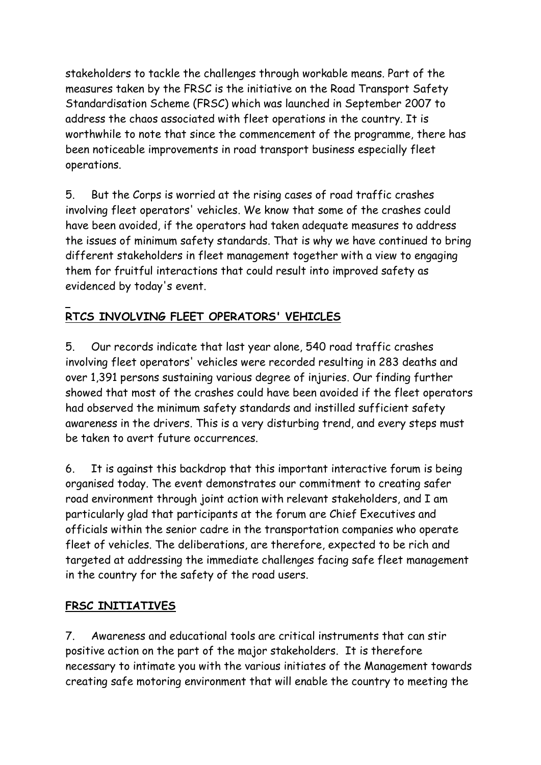stakeholders to tackle the challenges through workable means. Part of the measures taken by the FRSC is the initiative on the Road Transport Safety Standardisation Scheme (FRSC) which was launched in September 2007 to address the chaos associated with fleet operations in the country. It is worthwhile to note that since the commencement of the programme, there has been noticeable improvements in road transport business especially fleet operations.

5. But the Corps is worried at the rising cases of road traffic crashes involving fleet operators' vehicles. We know that some of the crashes could have been avoided, if the operators had taken adequate measures to address the issues of minimum safety standards. That is why we have continued to bring different stakeholders in fleet management together with a view to engaging them for fruitful interactions that could result into improved safety as evidenced by today's event.

# **RTCS INVOLVING FLEET OPERATORS' VEHICLES**

5. Our records indicate that last year alone, 540 road traffic crashes involving fleet operators' vehicles were recorded resulting in 283 deaths and over 1,391 persons sustaining various degree of injuries. Our finding further showed that most of the crashes could have been avoided if the fleet operators had observed the minimum safety standards and instilled sufficient safety awareness in the drivers. This is a very disturbing trend, and every steps must be taken to avert future occurrences.

6. It is against this backdrop that this important interactive forum is being organised today. The event demonstrates our commitment to creating safer road environment through joint action with relevant stakeholders, and I am particularly glad that participants at the forum are Chief Executives and officials within the senior cadre in the transportation companies who operate fleet of vehicles. The deliberations, are therefore, expected to be rich and targeted at addressing the immediate challenges facing safe fleet management in the country for the safety of the road users.

#### **FRSC INITIATIVES**

7. Awareness and educational tools are critical instruments that can stir positive action on the part of the major stakeholders. It is therefore necessary to intimate you with the various initiates of the Management towards creating safe motoring environment that will enable the country to meeting the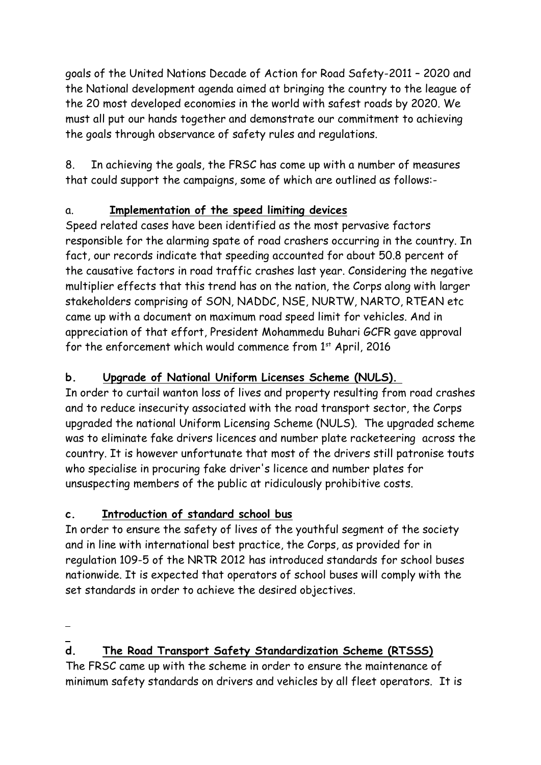goals of the United Nations Decade of Action for Road Safety-2011 – 2020 and the National development agenda aimed at bringing the country to the league of the 20 most developed economies in the world with safest roads by 2020. We must all put our hands together and demonstrate our commitment to achieving the goals through observance of safety rules and regulations.

8. In achieving the goals, the FRSC has come up with a number of measures that could support the campaigns, some of which are outlined as follows:-

### a. **Implementation of the speed limiting devices**

Speed related cases have been identified as the most pervasive factors responsible for the alarming spate of road crashers occurring in the country. In fact, our records indicate that speeding accounted for about 50.8 percent of the causative factors in road traffic crashes last year. Considering the negative multiplier effects that this trend has on the nation, the Corps along with larger stakeholders comprising of SON, NADDC, NSE, NURTW, NARTO, RTEAN etc came up with a document on maximum road speed limit for vehicles. And in appreciation of that effort, President Mohammedu Buhari GCFR gave approval for the enforcement which would commence from  $1<sup>st</sup>$  April, 2016

## **b. Upgrade of National Uniform Licenses Scheme (NULS).**

In order to curtail wanton loss of lives and property resulting from road crashes and to reduce insecurity associated with the road transport sector, the Corps upgraded the national Uniform Licensing Scheme (NULS). The upgraded scheme was to eliminate fake drivers licences and number plate racketeering across the country. It is however unfortunate that most of the drivers still patronise touts who specialise in procuring fake driver's licence and number plates for unsuspecting members of the public at ridiculously prohibitive costs.

### **c. Introduction of standard school bus**

In order to ensure the safety of lives of the youthful segment of the society and in line with international best practice, the Corps, as provided for in regulation 109-5 of the NRTR 2012 has introduced standards for school buses nationwide. It is expected that operators of school buses will comply with the set standards in order to achieve the desired objectives.

### **d. The Road Transport Safety Standardization Scheme (RTSSS)**

The FRSC came up with the scheme in order to ensure the maintenance of minimum safety standards on drivers and vehicles by all fleet operators. It is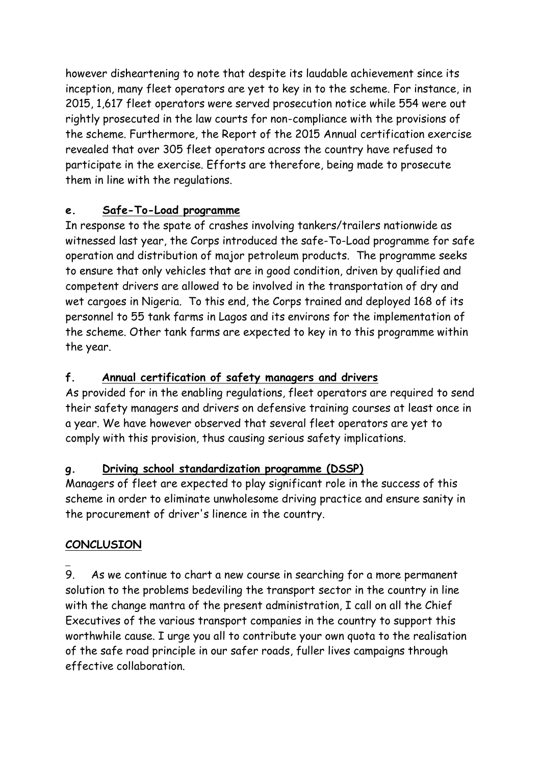however disheartening to note that despite its laudable achievement since its inception, many fleet operators are yet to key in to the scheme. For instance, in 2015, 1,617 fleet operators were served prosecution notice while 554 were out rightly prosecuted in the law courts for non-compliance with the provisions of the scheme. Furthermore, the Report of the 2015 Annual certification exercise revealed that over 305 fleet operators across the country have refused to participate in the exercise. Efforts are therefore, being made to prosecute them in line with the regulations.

### **e. Safe-To-Load programme**

In response to the spate of crashes involving tankers/trailers nationwide as witnessed last year, the Corps introduced the safe-To-Load programme for safe operation and distribution of major petroleum products. The programme seeks to ensure that only vehicles that are in good condition, driven by qualified and competent drivers are allowed to be involved in the transportation of dry and wet cargoes in Nigeria. To this end, the Corps trained and deployed 168 of its personnel to 55 tank farms in Lagos and its environs for the implementation of the scheme. Other tank farms are expected to key in to this programme within the year.

### **f. Annual certification of safety managers and drivers**

As provided for in the enabling regulations, fleet operators are required to send their safety managers and drivers on defensive training courses at least once in a year. We have however observed that several fleet operators are yet to comply with this provision, thus causing serious safety implications.

### **g. Driving school standardization programme (DSSP)**

Managers of fleet are expected to play significant role in the success of this scheme in order to eliminate unwholesome driving practice and ensure sanity in the procurement of driver's linence in the country.

### **CONCLUSION**

9. As we continue to chart a new course in searching for a more permanent solution to the problems bedeviling the transport sector in the country in line with the change mantra of the present administration, I call on all the Chief Executives of the various transport companies in the country to support this worthwhile cause. I urge you all to contribute your own quota to the realisation of the safe road principle in our safer roads, fuller lives campaigns through effective collaboration.